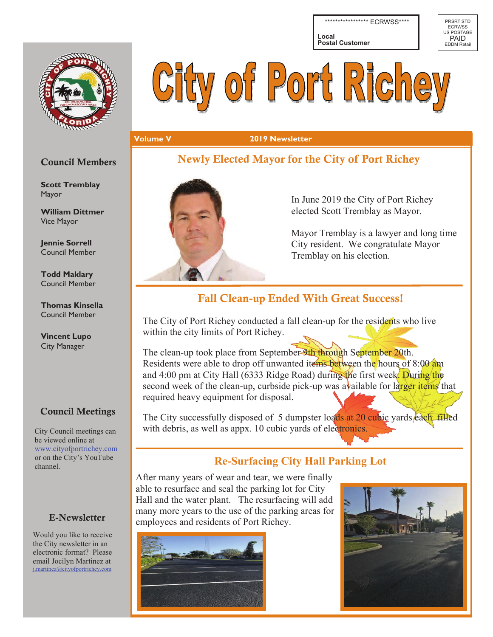\*\*\*\*\*\*\*\*\*\*\*\*\*\*\*\*\*\*\* ECRWSS\*\*\*\* **Local Postal Customer**







#### **Volume V 2019 Newsletter**

# Newly Elected Mayor for the City of Port Richey



In June 2019 the City of Port Richey elected Scott Tremblay as Mayor.

Mayor Tremblay is a lawyer and long time City resident. We congratulate Mayor Tremblay on his election.

# Fall Clean-up Ended With Great Success!

The City of Port Richey conducted a fall clean-up for the residents who live within the city limits of Port Richey.

The clean-up took place from September 9th through September 20th. Residents were able to drop off unwanted items between the hours of 8:00 am and 4:00 pm at City Hall (6333 Ridge Road) during the first week. During the second week of the clean-up, curbside pick-up was available for larger items that required heavy equipment for disposal.

The City successfully disposed of 5 dumpster loads at 20 cubic vards each filled with debris, as well as appx. 10 cubic yards of electronics.

# **Re-Surfacing City Hall Parking Lot**

After many years of wear and tear, we were finally able to resurface and seal the parking lot for City Hall and the water plant. The resurfacing will add many more years to the use of the parking areas for employees and residents of Port Richey.





## Council Members

**Scott Tremblay**  Mayor

**William Dittmer**  Vice Mayor

**Jennie Sorrell**  Council Member

**Todd Maklary**  Council Member

**Thomas Kinsella**  Council Member

**Vincent Lupo**  City Manager

## Council Meetings

City Council meetings can be viewed online at www.cityofportrichey.com or on the City's YouTube channel.

## E-Newsletter

Would you like to receive the City newsletter in an electronic format? Please email Jocilyn Martinez at j.martinez@cityofportrichey.com